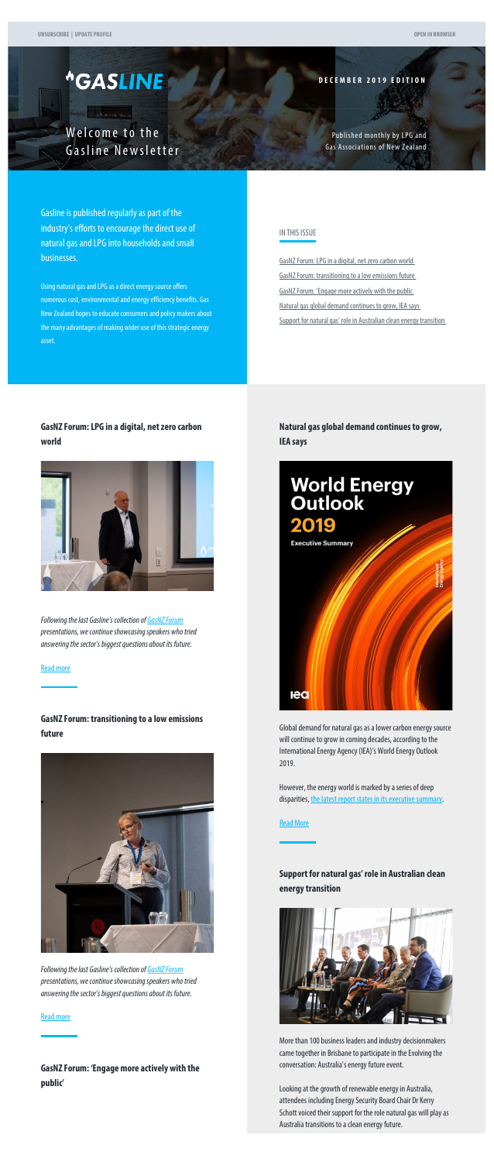# <span id="page-0-0"></span>*<u>\*GASLINE</u>*

**Common** 

**DECEMBER 2019 EDITION**

Welcome to the Gasline Newsletter

Published monthly by LPG and Gas Associations of New Zealand

Gasline is published regularly as part of the industry's efforts to encourage the direct use of natural gas and LPG into households and small businesses.

Using natural gas and LPG as a direct energy source offers numerous cost, environmental and energy efficiency benefits. Gas New Zealand hopes to educate consumers and policy makers about the many advantages of making wider use of this strategic energy asset.

#### IN THIS ISSUE

[GasNZ Forum: LPG in a digital, net zero carbon world](#page-0-0) [GasNZ Forum: transitioning to a low emissions future](#page-0-0) [GasNZ Forum: 'Engage more actively with the public](#page-0-0) [Natural gas global demand continues to grow, IEA says](#page-0-0) [Support for natural gas' role in Australian clean energy transition](#page-0-1)

However, the energy world is marked by a series of deep disparities, [the latest report states in its executive summary](https://www.iea.org/reports/world-energy-outlook-2019).

**[Read More](http://www.gasnz.org.nz/uploads/Send-outs-2019/December/story-04.php)** 

## **GasNZ Forum: LPG in a digital, net zero carbon world**



*Following the last Gasline's collection of [GasNZ Forum](http://www.gasnz.org.nz/nz-gas-industry/news-and-events/2019-Presentations-Photos) presentations, we continue showcasing speakers who tried answering the sector's biggest questions about its future.*

[Read more](http://www.gasnz.org.nz/uploads/Send-outs-2019/December/story-01.php)

### **GasNZ Forum: transitioning to a low emissions**

#### **future**



<span id="page-0-1"></span>*Following the last Gasline's collection of [GasNZ Forum](http://www.gasnz.org.nz/nz-gas-industry/news-and-events/2019-Presentations-Photos) presentations, we continue showcasing speakers who tried answering the sector's biggest questions about its future.*

#### [Read more](http://www.gasnz.org.nz/uploads/Send-outs-2019/December/story-02.php)

**GasNZ Forum: 'Engage more actively with the public'**

**Natural gas global demand continues to grow, IEA says**



Global demand for natural gas as a lower carbon energy source will continue to grow in coming decades, according to the International Energy Agency (IEA)'s World Energy Outlook 2019.

# **Support for natural gas' role in Australian clean energy transition**



More than 100 business leaders and industry decisionmakers came together in Brisbane to participate in the Evolving the conversation: Australia's energy future event.

Looking at the growth of renewable energy in Australia, attendees including Energy Security Board Chair Dr Kerry Schott voiced their support for the role natural gas will play as Australia transitions to a clean energy future.